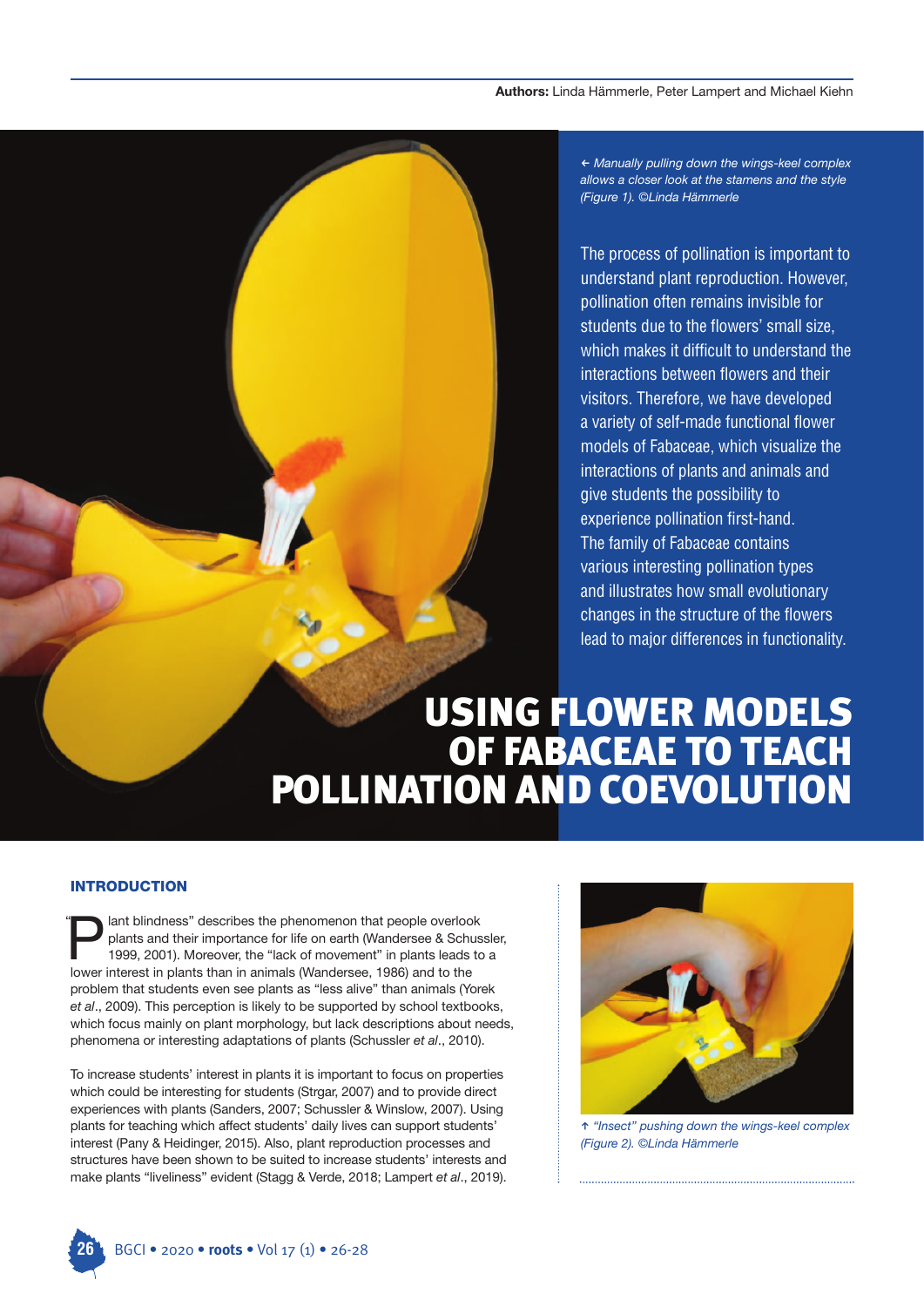#### **Authors:** Linda Hämmerle, Peter Lampert and Michael Kiehn

O *Manually pulling down the wings-keel complex allows a closer look at the stamens and the style (Figure 1). ©Linda Hämmerle*

The process of pollination is important to understand plant reproduction. However, pollination often remains invisible for students due to the flowers' small size, which makes it difficult to understand the interactions between flowers and their visitors. Therefore, we have developed a variety of self-made functional flower models of Fabaceae, which visualize the interactions of plants and animals and give students the possibility to experience pollination first-hand. The family of Fabaceae contains various interesting pollination types and illustrates how small evolutionary changes in the structure of the flowers lead to major differences in functionality.

# USING FLOWER MODELS OF FABACEAE TO TEACH POLLINATION AND COEVOLUTION

#### **INTRODUCTION**

lant blindness" describes the phenomenon that people overlook plants and their importance for life on earth (Wandersee & Schussler, 1999, 2001). Moreover, the "lack of movement" in plants leads to a I ant blindness" describes the phenomenon that people overlooplants and their importance for life on earth (Wandersee & Schin)<br>1999, 2001). Moreover, the "lack of movement" in plants leads<br>I ower interest in plants than in problem that students even see plants as "less alive" than animals (Yorek *et al*., 2009). This perception is likely to be supported by school textbooks, which focus mainly on plant morphology, but lack descriptions about needs, phenomena or interesting adaptations of plants (Schussler *et al*., 2010). "

To increase students' interest in plants it is important to focus on properties which could be interesting for students (Strgar, 2007) and to provide direct experiences with plants (Sanders, 2007; Schussler & Winslow, 2007). Using plants for teaching which affect students' daily lives can support students' interest (Pany & Heidinger, 2015). Also, plant reproduction processes and structures have been shown to be suited to increase students' interests and make plants "liveliness" evident (Stagg & Verde, 2018; Lampert *et al*., 2019).



W *"Insect" pushing down the wings-keel complex (Figure 2). ©Linda Hämmerle*

**26** BGCI • 2020 • **roots** • Vol 17 (1) • 26-28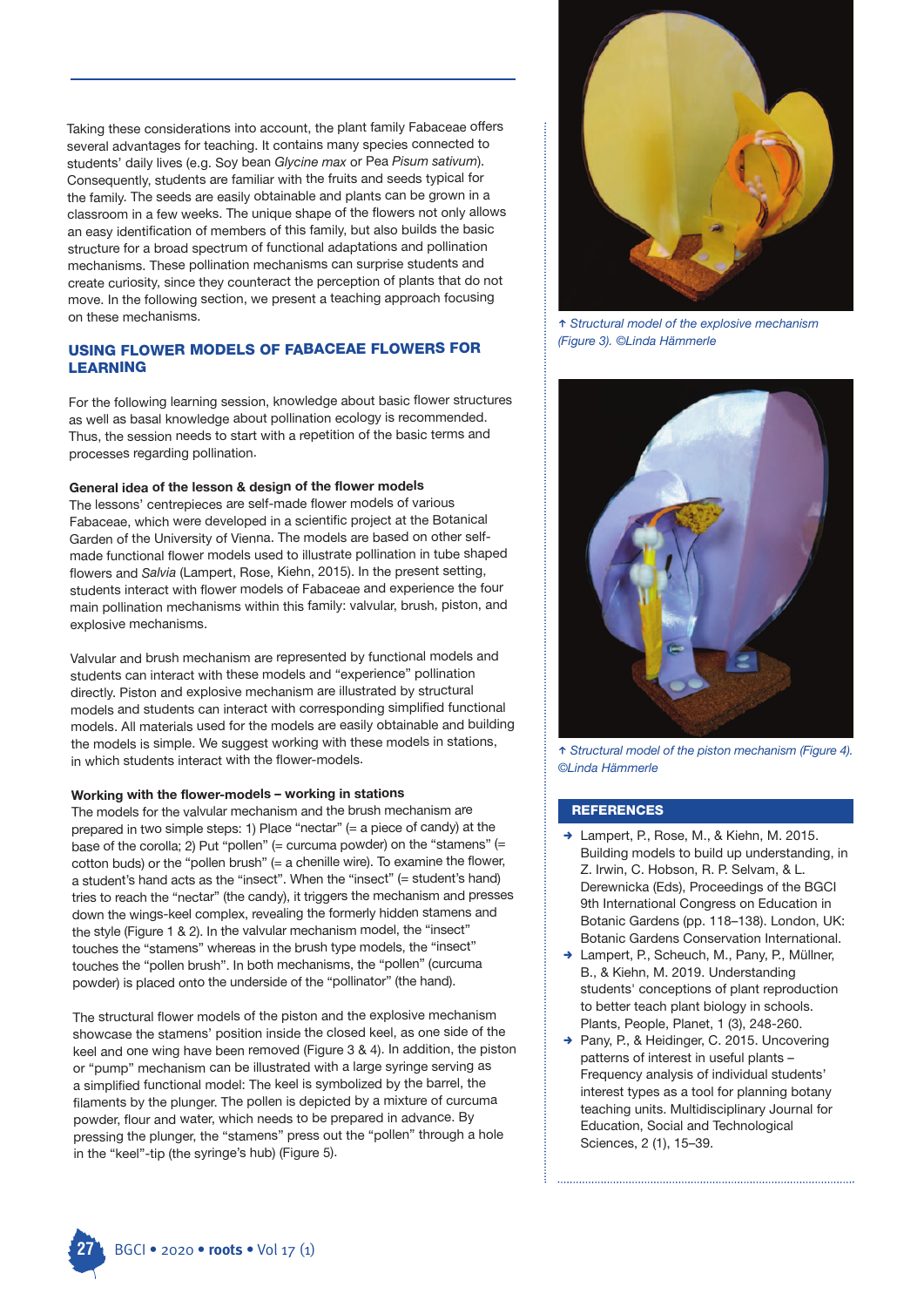Taking these considerations into account, the plant family Fabaceae offers several advantages for teaching. It contains many species connected to students' daily lives (e.g. Soy bean *Glycine max* or Pea *Pisum sativum*). Consequently, students are familiar with the fruits and seeds typical for the family. The seeds are easily obtainable and plants can be grown in a classroom in a few weeks. The unique shape of the flowers not only allows an easy identification of members of this family, but also builds the basic structure for a broad spectrum of functional adaptations and pollination mechanisms. These pollination mechanisms can surprise students and create curiosity, since they counteract the perception of plants that do not move. In the following section, we present a teaching approach focusing on these mechanisms.

# **USING FLOWER MODELS OF FABACEAE FLOWERS FOR LEARNING**

For the following learning session, knowledge about basic flower structures as well as basal knowledge about pollination ecology is recommended. Thus, the session needs to start with a repetition of the basic terms and processes regarding pollination.

#### **General idea of the lesson & design of the flower models**

The lessons' centrepieces are self-made flower models of various Fabaceae, which were developed in a scientific project at the Botanical Garden of the University of Vienna. The models are based on other selfmade functional flower models used to illustrate pollination in tube shaped flowers and *Salvia* (Lampert, Rose, Kiehn, 2015). In the present setting, students interact with flower models of Fabaceae and experience the four main pollination mechanisms within this family: valvular, brush, piston, and explosive mechanisms.

Valvular and brush mechanism are represented by functional models and students can interact with these models and "experience" pollination directly. Piston and explosive mechanism are illustrated by structural models and students can interact with corresponding simplified functional models. All materials used for the models are easily obtainable and building the models is simple. We suggest working with these models in stations, in which students interact with the flower-models.

#### **Working with the flower-models – working in stations**

The models for the valvular mechanism and the brush mechanism are prepared in two simple steps: 1) Place "nectar" (= a piece of candy) at the base of the corolla; 2) Put "pollen" (= curcuma powder) on the "stamens" (= cotton buds) or the "pollen brush" (= a chenille wire). To examine the flower, a student's hand acts as the "insect". When the "insect" (= student's hand) tries to reach the "nectar" (the candy), it triggers the mechanism and presses down the wings-keel complex, revealing the formerly hidden stamens and the style (Figure 1 & 2). In the valvular mechanism model, the "insect" touches the "stamens" whereas in the brush type models, the "insect" touches the "pollen brush". In both mechanisms, the "pollen" (curcuma powder) is placed onto the underside of the "pollinator" (the hand).

The structural flower models of the piston and the explosive mechanism showcase the stamens' position inside the closed keel, as one side of the keel and one wing have been removed (Figure 3 & 4). In addition, the piston or "pump" mechanism can be illustrated with a large syringe serving as a simplified functional model: The keel is symbolized by the barrel, the filaments by the plunger. The pollen is depicted by a mixture of curcuma powder, flour and water, which needs to be prepared in advance. By pressing the plunger, the "stamens" press out the "pollen" through a hole in the "keel"-tip (the syringe's hub) (Figure 5).



W *Structural model of the explosive mechanism (Figure 3). ©Linda Hämmerle*



W *Structural model of the piston mechanism (Figure 4). ©Linda Hämmerle*

# **REFERENCES**

- → Lampert, P., Rose, M., & Kiehn, M. 2015. Building models to build up understanding, in Z. Irwin, C. Hobson, R. P. Selvam, & L. Derewnicka (Eds), Proceedings of the BGCI 9th International Congress on Education in Botanic Gardens (pp. 118–138). London, UK: Botanic Gardens Conservation International.
- → Lampert, P., Scheuch, M., Pany, P., Müllner, B., & Kiehn, M. 2019. Understanding students' conceptions of plant reproduction to better teach plant biology in schools. Plants, People, Planet, 1 (3), 248-260.
- → Pany, P., & Heidinger, C. 2015. Uncovering patterns of interest in useful plants – Frequency analysis of individual students' interest types as a tool for planning botany teaching units. Multidisciplinary Journal for Education, Social and Technological Sciences, 2 (1), 15–39.